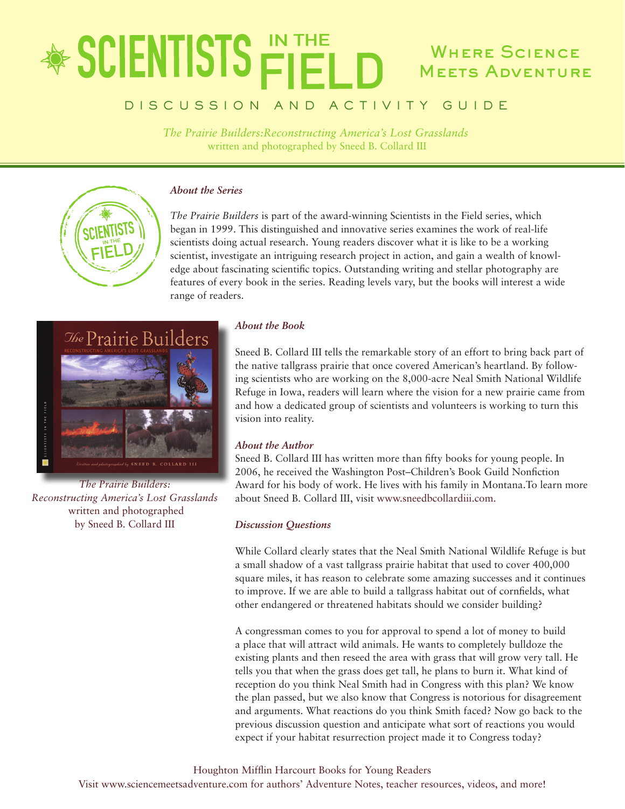# **\*SCIENTISTS FIEL** WHERE SCIENCE **MEETS ADVENTURE**

### DISCUSSION AND ACTIVITY GUIDE

*The Prairie Builders:Reconstructing America's Lost Grasslands* written and photographed by Sneed B. Collard III



#### *About the Series*

*The Prairie Builders* is part of the award-winning Scientists in the Field series, which began in 1999. This distinguished and innovative series examines the work of real-life scientists doing actual research. Young readers discover what it is like to be a working scientist, investigate an intriguing research project in action, and gain a wealth of knowledge about fascinating scientific topics. Outstanding writing and stellar photography are features of every book in the series. Reading levels vary, but the books will interest a wide range of readers.



*The Prairie Builders: Reconstructing America's Lost Grasslands* written and photographed by Sneed B. Collard III

#### *About the Book*

Sneed B. Collard III tells the remarkable story of an effort to bring back part of the native tallgrass prairie that once covered American's heartland. By following scientists who are working on the 8,000-acre Neal Smith National Wildlife Refuge in Iowa, readers will learn where the vision for a new prairie came from and how a dedicated group of scientists and volunteers is working to turn this vision into reality.

#### *About the Author*

Sneed B. Collard III has written more than fifty books for young people. In 2006, he received the Washington Post–Children's Book Guild Nonfiction Award for his body of work. He lives with his family in Montana.To learn more about Sneed B. Collard III, visit www.sneedbcollardiii.com.

#### *Discussion Questions*

While Collard clearly states that the Neal Smith National Wildlife Refuge is but a small shadow of a vast tallgrass prairie habitat that used to cover 400,000 square miles, it has reason to celebrate some amazing successes and it continues to improve. If we are able to build a tallgrass habitat out of cornfields, what other endangered or threatened habitats should we consider building?

A congressman comes to you for approval to spend a lot of money to build a place that will attract wild animals. He wants to completely bulldoze the existing plants and then reseed the area with grass that will grow very tall. He tells you that when the grass does get tall, he plans to burn it. What kind of reception do you think Neal Smith had in Congress with this plan? We know the plan passed, but we also know that Congress is notorious for disagreement and arguments. What reactions do you think Smith faced? Now go back to the previous discussion question and anticipate what sort of reactions you would expect if your habitat resurrection project made it to Congress today?